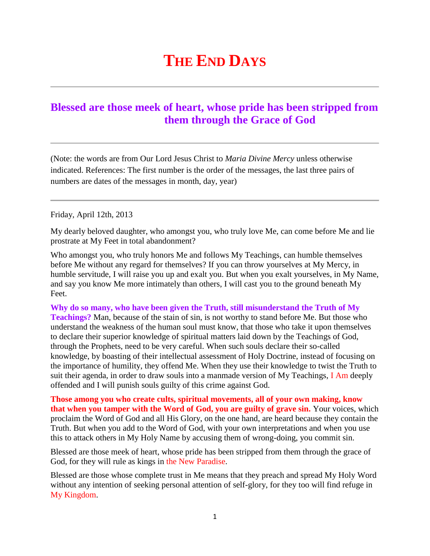## **THE END DAYS**

## **[Blessed are those meek of heart, whose pride has been stripped from](http://www.thewarningsecondcoming.com/blessed-are-those-meek-of-heart-whose-pride-has-been-stripped-from-them-through-the-grace-of-god/)  [them through the Grace of God](http://www.thewarningsecondcoming.com/blessed-are-those-meek-of-heart-whose-pride-has-been-stripped-from-them-through-the-grace-of-god/)**

(Note: the words are from Our Lord Jesus Christ to *Maria Divine Mercy* unless otherwise indicated. References: The first number is the order of the messages, the last three pairs of numbers are dates of the messages in month, day, year)

Friday, April 12th, 2013

My dearly beloved daughter, who amongst you, who truly love Me, can come before Me and lie prostrate at My Feet in total abandonment?

Who amongst you, who truly honors Me and follows My Teachings, can humble themselves before Me without any regard for themselves? If you can throw yourselves at My Mercy, in humble servitude, I will raise you up and exalt you. But when you exalt yourselves, in My Name, and say you know Me more intimately than others, I will cast you to the ground beneath My Feet.

**Why do so many, who have been given the Truth, still misunderstand the Truth of My Teachings?** Man, because of the stain of sin, is not worthy to stand before Me. But those who understand the weakness of the human soul must know, that those who take it upon themselves to declare their superior knowledge of spiritual matters laid down by the Teachings of God, through the Prophets, need to be very careful. When such souls declare their so-called knowledge, by boasting of their intellectual assessment of Holy Doctrine, instead of focusing on the importance of humility, they offend Me. When they use their knowledge to twist the Truth to suit their agenda, in order to draw souls into a manmade version of My Teachings, I Am deeply offended and I will punish souls guilty of this crime against God.

**Those among you who create cults, spiritual movements, all of your own making, know that when you tamper with the Word of God, you are guilty of grave sin.** Your voices, which proclaim the Word of God and all His Glory, on the one hand, are heard because they contain the Truth. But when you add to the Word of God, with your own interpretations and when you use this to attack others in My Holy Name by accusing them of wrong-doing, you commit sin.

Blessed are those meek of heart, whose pride has been stripped from them through the grace of God, for they will rule as kings in the New Paradise.

Blessed are those whose complete trust in Me means that they preach and spread My Holy Word without any intention of seeking personal attention of self-glory, for they too will find refuge in My Kingdom.